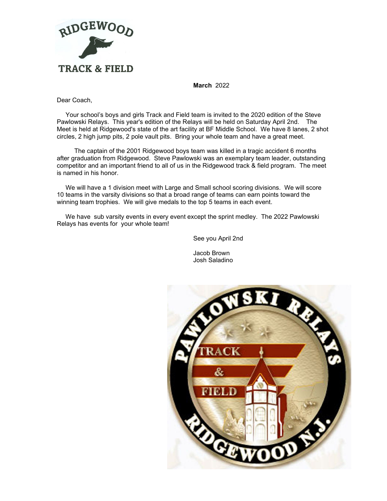

**March** 2022

Dear Coach,

 Your school's boys and girls Track and Field team is invited to the 2020 edition of the Steve Pawlowski Relays. This year's edition of the Relays will be held on Saturday April 2nd. The Meet is held at Ridgewood's state of the art facility at BF Middle School. We have 8 lanes, 2 shot circles, 2 high jump pits, 2 pole vault pits. Bring your whole team and have a great meet.

 The captain of the 2001 Ridgewood boys team was killed in a tragic accident 6 months after graduation from Ridgewood. Steve Pawlowski was an exemplary team leader, outstanding competitor and an important friend to all of us in the Ridgewood track & field program. The meet is named in his honor.

 We will have a 1 division meet with Large and Small school scoring divisions. We will score 10 teams in the varsity divisions so that a broad range of teams can earn points toward the winning team trophies. We will give medals to the top 5 teams in each event.

 We have sub varsity events in every event except the sprint medley. The 2022 Pawlowski Relays has events for your whole team!

See you April 2nd

Jacob Brown Josh Saladino

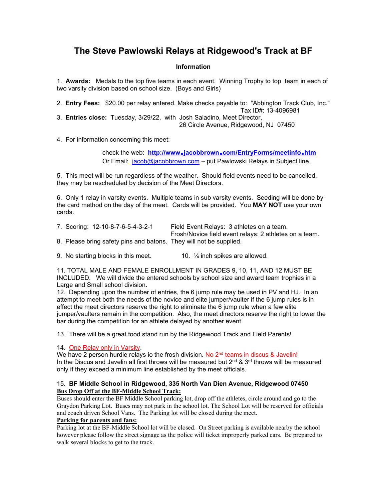## **The Steve Pawlowski Relays at Ridgewood's Track at BF**

#### **Information**

1. **Awards:** Medals to the top five teams in each event. Winning Trophy to top team in each of two varsity division based on school size. (Boys and Girls)

2. **Entry Fees:** \$20.00 per relay entered. Make checks payable to: "Abbington Track Club, Inc." Tax ID#: 13-4096981

3. **Entries close:** Tuesday, 3/29/22, with Josh Saladino, Meet Director, 26 Circle Avenue, Ridgewood, NJ 07450

4. For information concerning this meet:

check the web: http://www.jacobbrown.com/EntryForms/meetinfo.htm Or Email: [jacob@jacobbrown.com](mailto:jacob@jacobbrown.com) - put Pawlowski Relays in Subject line.

5. This meet will be run regardless of the weather. Should field events need to be cancelled, they may be rescheduled by decision of the Meet Directors.

6. Only 1 relay in varsity events. Multiple teams in sub varsity events. Seeding will be done by the card method on the day of the meet. Cards will be provided. You **MAY NOT** use your own cards.

| 7. Scoring: 12-10-8-7-6-5-4-3-2-1                                  | Field Event Relays: 3 athletes on a team.              |
|--------------------------------------------------------------------|--------------------------------------------------------|
|                                                                    | Frosh/Novice field event relays: 2 athletes on a team. |
| 8. Please bring safety pins and batons. They will not be supplied. |                                                        |

9. No starting blocks in this meet.  $10.$  % inch spikes are allowed.

11. TOTAL MALE AND FEMALE ENROLLMENT IN GRADES 9, 10, 11, AND 12 MUST BE INCLUDED. We will divide the entered schools by school size and award team trophies in a Large and Small school division.

12. Depending upon the number of entries, the 6 jump rule may be used in PV and HJ. In an attempt to meet both the needs of the novice and elite jumper/vaulter if the 6 jump rules is in effect the meet directors reserve the right to eliminate the 6 jump rule when a few elite jumper/vaulters remain in the competition. Also, the meet directors reserve the right to lower the bar during the competition for an athlete delayed by another event.

13. There will be a great food stand run by the Ridgewood Track and Field Parents!

### 14. One Relay only in Varsity.

We have 2 person hurdle relays io the frosh division. No  $2<sup>nd</sup>$  teams in discus & Javelin! In the Discus and Javelin all first throws will be measured but  $2^{nd}$  &  $3^{rd}$  throws will be measured only if they exceed a minimum line established by the meet officials.

#### 15. **BF Middle School in Ridgewood, 335 North Van Dien Avenue, Ridgewood 07450 Bus Drop Off at the BF-Middle School Track:**

Buses should enter the BF Middle School parking lot, drop off the athletes, circle around and go to the Graydon Parking Lot. Buses may not park in the school lot. The School Lot will be reserved for officials and coach driven School Vans. The Parking lot will be closed during the meet.

#### **Parking for parents and fans:**

Parking lot at the BF-Middle School lot will be closed. On Street parking is available nearby the school however please follow the street signage as the police will ticket improperly parked cars. Be prepared to walk several blocks to get to the track.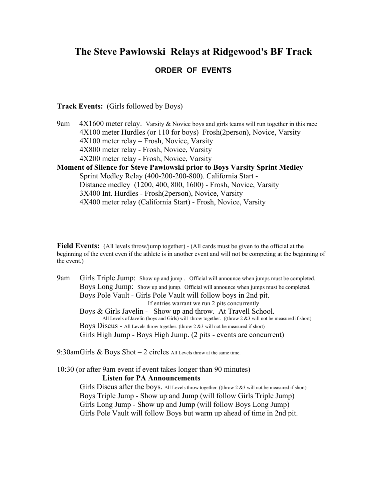## **The Steve Pawlowski Relays at Ridgewood's BF Track ORDER OF EVENTS**

**Track Events:** (Girls followed by Boys)

9am  $4X1600$  meter relay. Varsity & Novice boys and girls teams will run together in this race 4X100 meter Hurdles (or 110 for boys) Frosh(2person), Novice, Varsity 4X100 meter relay – Frosh, Novice, Varsity 4X800 meter relay - Frosh, Novice, Varsity 4X200 meter relay - Frosh, Novice, Varsity

**Moment of Silence for Steve Pawlowski prior to Boys Varsity Sprint Medley** Sprint Medley Relay (400-200-200-800). California Start - Distance medley (1200, 400, 800, 1600) - Frosh, Novice, Varsity 3X400 Int. Hurdles - Frosh(2person), Novice, Varsity 4X400 meter relay (California Start) - Frosh, Novice, Varsity

**Field Events:** (All levels throw/jump together) - (All cards must be given to the official at the beginning of the event even if the athlete is in another event and will not be competing at the beginning of the event.)

9am Girls Triple Jump: Show up and jump . Official will announce when jumps must be completed. Boys Long Jump: Show up and jump. Official will announce when jumps must be completed. Boys Pole Vault - Girls Pole Vault will follow boys in 2nd pit. If entries warrant we run 2 pits concurrently Boys & Girls Javelin - Show up and throw. At Travell School. All Levels of Javelin (boys and Girls) will throw together. ((throw 2 &3 will not be measured if short) Boys Discus - All Levels throw together. (throw 2 &3 will not be measured if short) Girls High Jump - Boys High Jump. (2 pits - events are concurrent)

9:30amGirls  $&$  Boys Shot  $-2$  circles All Levels throw at the same time.

10:30 (or after 9am event if event takes longer than 90 minutes) **Listen for PA Announcements**

> Girls Discus after the boys. All Levels throw together. ((throw 2 &3 will not be measured if short) Boys Triple Jump - Show up and Jump (will follow Girls Triple Jump) Girls Long Jump - Show up and Jump (will follow Boys Long Jump) Girls Pole Vault will follow Boys but warm up ahead of time in 2nd pit.